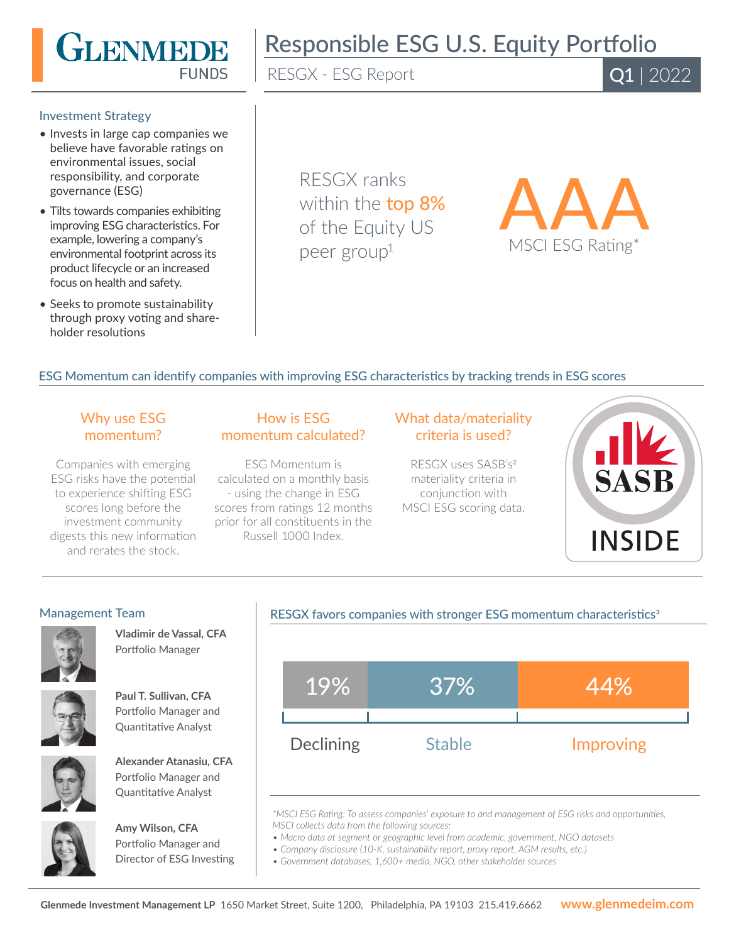

# Responsible ESG U.S. Equity Portfolio

RESGX - ESG Report

Q1 | 2022

#### Investment Strategy

- Invests in large cap companies we believe have favorable ratings on environmental issues, social responsibility, and corporate governance (ESG)
- Tilts towards companies exhibiting improving ESG characteristics. For example, lowering a company's environmental footprint across its product lifecycle or an increased focus on health and safety.
- Seeks to promote sustainability through proxy voting and shareholder resolutions

RESGX ranks within the **top 8%** of the Equity US peer group<sup>1</sup>



# ESG Momentum can identify companies with improving ESG characteristics by tracking trends in ESG scores

# Why use ESG momentum?

Companies with emerging ESG risks have the potential to experience shifting ESG scores long before the investment community digests this new information and rerates the stock.

# How is ESG momentum calculated?

ESG Momentum is calculated on a monthly basis - using the change in ESG scores from ratings 12 months prior for all constituents in the Russell 1000 Index.

# What data/materiality criteria is used?

RESGX uses SASB's2 materiality criteria in conjunction with MSCI ESG scoring data.



#### Management Team



**Vladimir de Vassal, CFA**  Portfolio Manager



**Paul T. Sullivan, CFA**  Portfolio Manager and



Quantitative Analyst



**Alexander Atanasiu, CFA**  Portfolio Manager and Quantitative Analyst



**Amy Wilson, CFA**  Portfolio Manager and Director of ESG Investing

#### RESGX favors companies with stronger ESG momentum characteristics<sup>3</sup>



*\*MSCI ESG Rating: To assess companies' exposure to and management of ESG risks and opportunities, MSCI collects data from the following sources:*

*• Macro data at segment or geographic level from academic, government, NGO datasets*

*• Company disclosure (10-K, sustainability report, proxy report, AGM results, etc.)*

*• Government databases, 1,600+ media, NGO, other stakeholder sources*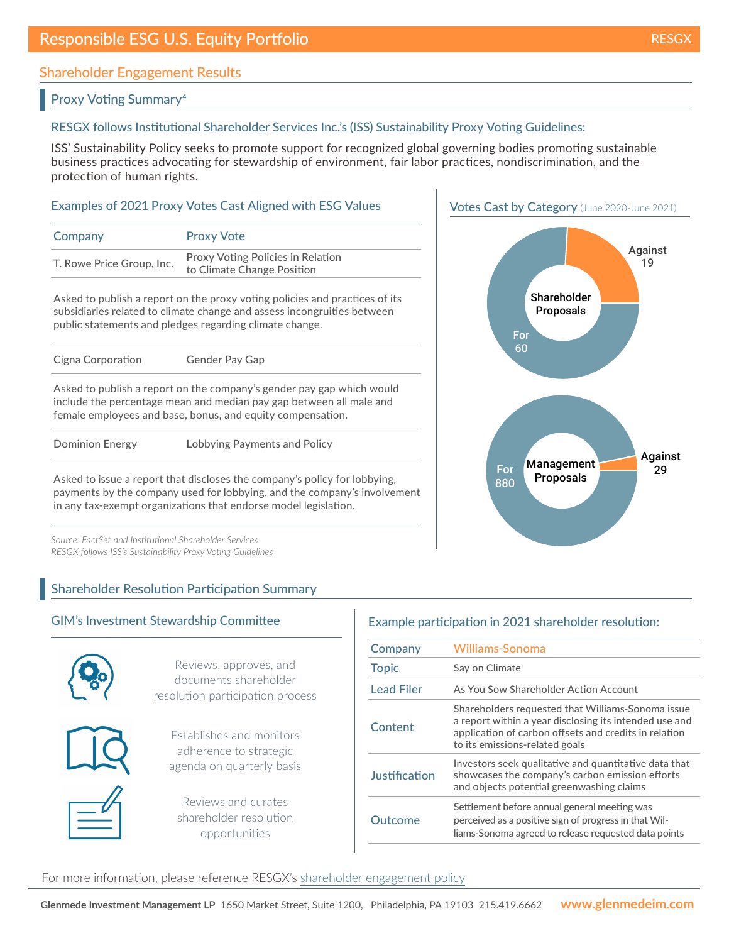# Shareholder Engagement Results

#### Proxy Voting Summary4

#### RESGX follows Institutional Shareholder Services Inc.'s (ISS) Sustainability Proxy Voting Guidelines:

ISS' Sustainability Policy seeks to promote support for recognized global governing bodies promoting sustainable business practices advocating for stewardship of environment, fair labor practices, nondiscrimination, and the protection of human rights.

#### Examples of 2021 Proxy Votes Cast Aligned with ESG Values

| Company                   | <b>Proxy Vote</b>                                               |
|---------------------------|-----------------------------------------------------------------|
| T. Rowe Price Group, Inc. | Proxy Voting Policies in Relation<br>to Climate Change Position |

Asked to publish a report on the proxy voting policies and practices of its subsidiaries related to climate change and assess incongruities between public statements and pledges regarding climate change.

| Cigna Corporation                                                                                                                                                                                          | <b>Gender Pay Gap</b>        |  |
|------------------------------------------------------------------------------------------------------------------------------------------------------------------------------------------------------------|------------------------------|--|
|                                                                                                                                                                                                            |                              |  |
| Asked to publish a report on the company's gender pay gap which would<br>include the percentage mean and median pay gap between all male and<br>female employees and base, bonus, and equity compensation. |                              |  |
| <b>Dominion Energy</b>                                                                                                                                                                                     | Lobbying Payments and Policy |  |

Asked to issue a report that discloses the company's policy for lobbying, payments by the company used for lobbying, and the company's involvement in any tax-exempt organizations that endorse model legislation.

*Source: FactSet and Institutional Shareholder Services RESGX follows ISS's Sustainability Proxy Voting Guidelines*

# Shareholder Resolution Participation Summary

#### GIM's Investment Stewardship Committee



Reviews, approves, and documents shareholder resolution participation process



Establishes and monitors adherence to strategic agenda on quarterly basis

Reviews and curates shareholder resolution opportunities

# Example participation in 2021 shareholder resolution:

| Company           | <b>Williams-Sonoma</b>                                                                                                                                                                                 |
|-------------------|--------------------------------------------------------------------------------------------------------------------------------------------------------------------------------------------------------|
| <b>Topic</b>      | Say on Climate                                                                                                                                                                                         |
| <b>Lead Filer</b> | As You Sow Shareholder Action Account                                                                                                                                                                  |
| Content           | Shareholders requested that Williams-Sonoma issue<br>a report within a year disclosing its intended use and<br>application of carbon offsets and credits in relation<br>to its emissions-related goals |
| Justification     | Investors seek qualitative and quantitative data that<br>showcases the company's carbon emission efforts<br>and objects potential greenwashing claims                                                  |
| Outcome           | Settlement before annual general meeting was<br>perceived as a positive sign of progress in that Wil-<br>liams-Sonoma agreed to release requested data points                                          |



For more information, please reference RESGX's [shareholder engagement policy](https://www.glenmedeim.com/insights/mutual-fund-shareholder-engagement-policy/)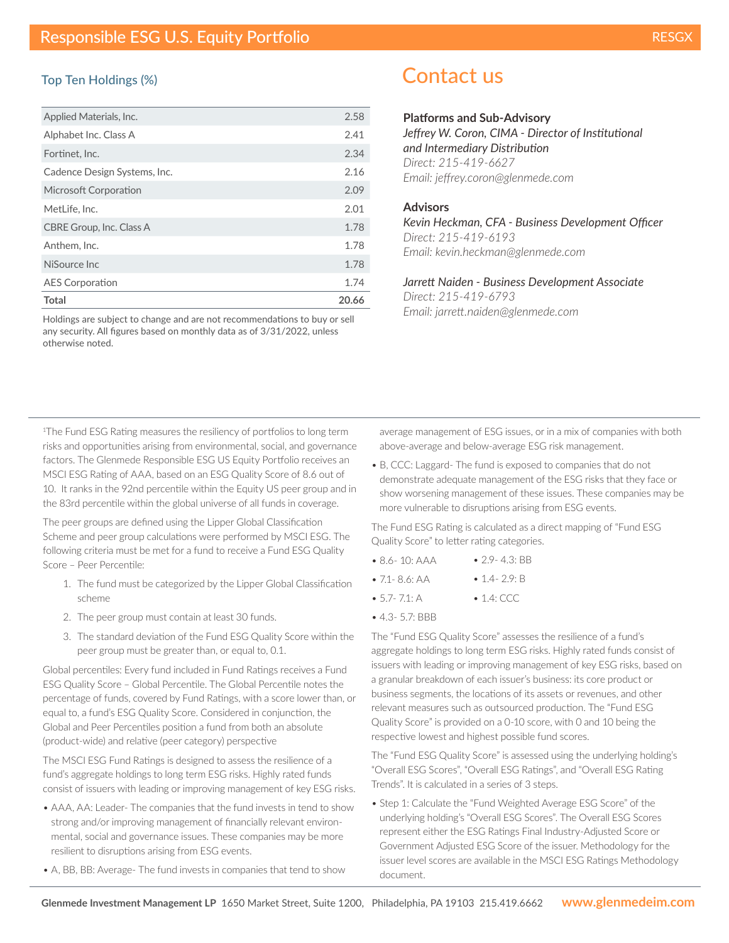#### Top Ten Holdings (%)

| Applied Materials, Inc.      | 2.58  |
|------------------------------|-------|
| Alphabet Inc. Class A        | 2.41  |
| Fortinet. Inc.               | 2.34  |
| Cadence Design Systems, Inc. | 2.16  |
| Microsoft Corporation        | 2.09  |
| MetLife, Inc.                | 2.01  |
| CBRE Group, Inc. Class A     | 1.78  |
| Anthem, Inc.                 | 1.78  |
| NiSource Inc.                | 1.78  |
| <b>AES Corporation</b>       | 1.74  |
| Total                        | 20.66 |

Holdings are subject to change and are not recommendations to buy or sell any security. All figures based on monthly data as of 3/31/2022, unless otherwise noted.

# Contact us

#### **Platforms and Sub-Advisory**

*Jeffrey W. Coron, CIMA - Director of Institutional and Intermediary Distribution Direct: 215-419-6627 Email: jeffrey.coron@glenmede.com*

#### **Advisors**

*Kevin Heckman, CFA - Business Development Officer Direct: 215-419-6193 Email: kevin.heckman@glenmede.com*

*Jarrett Naiden - Business Development Associate Direct: 215-419-6793 Email: jarrett.naiden@glenmede.com*

1 The Fund ESG Rating measures the resiliency of portfolios to long term risks and opportunities arising from environmental, social, and governance factors. The Glenmede Responsible ESG US Equity Portfolio receives an MSCI ESG Rating of AAA, based on an ESG Quality Score of 8.6 out of 10. It ranks in the 92nd percentile within the Equity US peer group and in the 83rd percentile within the global universe of all funds in coverage.

The peer groups are defined using the Lipper Global Classification Scheme and peer group calculations were performed by MSCI ESG. The following criteria must be met for a fund to receive a Fund ESG Quality Score – Peer Percentile:

- 1. The fund must be categorized by the Lipper Global Classification scheme
- 2. The peer group must contain at least 30 funds.
- 3. The standard deviation of the Fund ESG Quality Score within the peer group must be greater than, or equal to, 0.1.

Global percentiles: Every fund included in Fund Ratings receives a Fund ESG Quality Score – Global Percentile. The Global Percentile notes the percentage of funds, covered by Fund Ratings, with a score lower than, or equal to, a fund's ESG Quality Score. Considered in conjunction, the Global and Peer Percentiles position a fund from both an absolute (product-wide) and relative (peer category) perspective

The MSCI ESG Fund Ratings is designed to assess the resilience of a fund's aggregate holdings to long term ESG risks. Highly rated funds consist of issuers with leading or improving management of key ESG risks.

- AAA, AA: Leader- The companies that the fund invests in tend to show strong and/or improving management of financially relevant environmental, social and governance issues. These companies may be more resilient to disruptions arising from ESG events.
- A, BB, BB: Average- The fund invests in companies that tend to show

average management of ESG issues, or in a mix of companies with both above-average and below-average ESG risk management.

• B, CCC: Laggard- The fund is exposed to companies that do not demonstrate adequate management of the ESG risks that they face or show worsening management of these issues. These companies may be more vulnerable to disruptions arising from ESG events.

The Fund ESG Rating is calculated as a direct mapping of "Fund ESG Quality Score" to letter rating categories.

- 8.6- 10: AAA • 2.9- 4.3: BB
- $71 86$  AA • 1.4 - 2.9: B
- 5.7- 7.1: A • 1.4: CCC
- 4.3- 5.7: BBB

The "Fund ESG Quality Score" assesses the resilience of a fund's aggregate holdings to long term ESG risks. Highly rated funds consist of issuers with leading or improving management of key ESG risks, based on a granular breakdown of each issuer's business: its core product or business segments, the locations of its assets or revenues, and other relevant measures such as outsourced production. The "Fund ESG Quality Score" is provided on a 0-10 score, with 0 and 10 being the respective lowest and highest possible fund scores.

The "Fund ESG Quality Score" is assessed using the underlying holding's "Overall ESG Scores", "Overall ESG Ratings", and "Overall ESG Rating Trends". It is calculated in a series of 3 steps.

• Step 1: Calculate the "Fund Weighted Average ESG Score" of the underlying holding's "Overall ESG Scores". The Overall ESG Scores represent either the ESG Ratings Final Industry-Adjusted Score or Government Adjusted ESG Score of the issuer. Methodology for the issuer level scores are available in the MSCI ESG Ratings Methodology document.